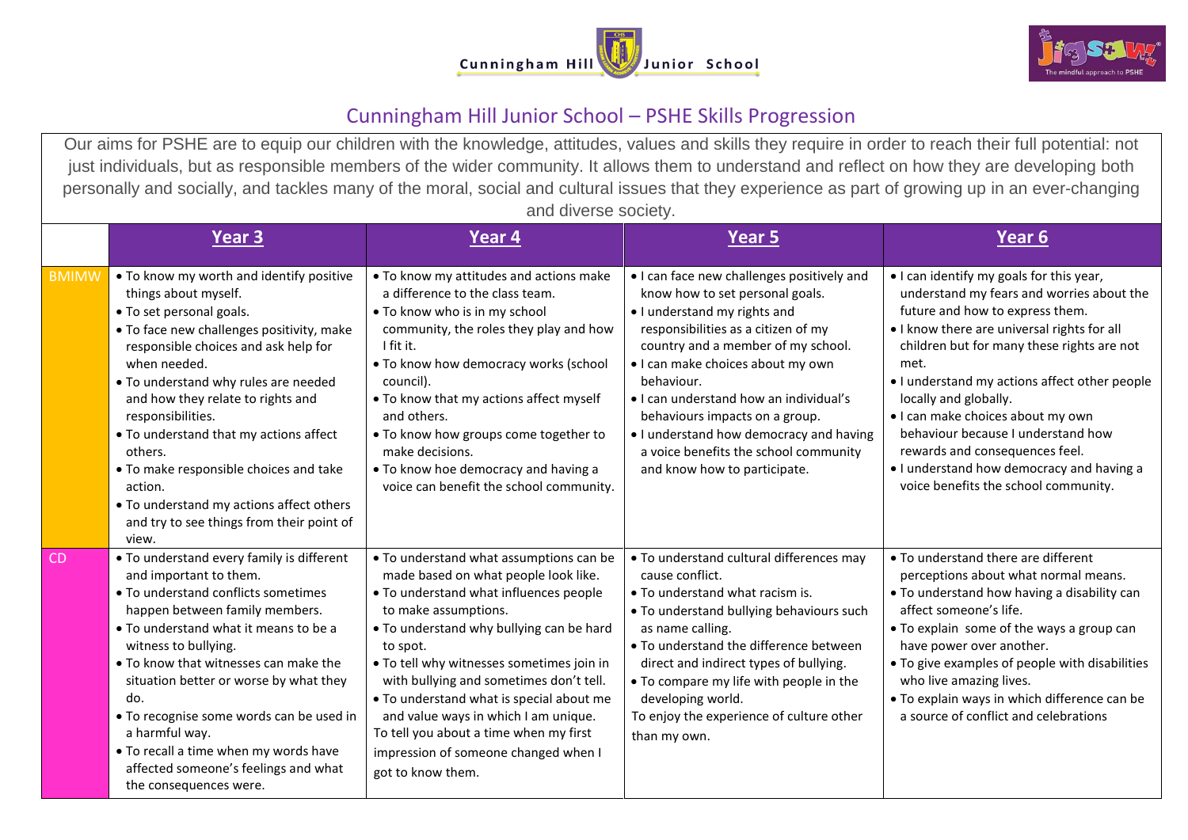



## Cunningham Hill Junior School – PSHE Skills Progression

Our aims for PSHE are to equip our children with the knowledge, attitudes, values and skills they require in order to reach their full potential: not just individuals, but as responsible members of the wider community. It allows them to understand and reflect on how they are developing both personally and socially, and tackles many of the moral, social and cultural issues that they experience as part of growing up in an ever-changing and diverse society.

|              | <b>Year 3</b>                                                                                                                                                                                                                                                                                                                                                                                                                                                                                                   | Year 4                                                                                                                                                                                                                                                                                                                                                                                                                                                                                       | <b>Year 5</b>                                                                                                                                                                                                                                                                                                                                                                                                                                 | Year 6                                                                                                                                                                                                                                                                                                                                                                                                                                                                                                    |
|--------------|-----------------------------------------------------------------------------------------------------------------------------------------------------------------------------------------------------------------------------------------------------------------------------------------------------------------------------------------------------------------------------------------------------------------------------------------------------------------------------------------------------------------|----------------------------------------------------------------------------------------------------------------------------------------------------------------------------------------------------------------------------------------------------------------------------------------------------------------------------------------------------------------------------------------------------------------------------------------------------------------------------------------------|-----------------------------------------------------------------------------------------------------------------------------------------------------------------------------------------------------------------------------------------------------------------------------------------------------------------------------------------------------------------------------------------------------------------------------------------------|-----------------------------------------------------------------------------------------------------------------------------------------------------------------------------------------------------------------------------------------------------------------------------------------------------------------------------------------------------------------------------------------------------------------------------------------------------------------------------------------------------------|
| <b>BMIMW</b> | • To know my worth and identify positive<br>things about myself.<br>• To set personal goals.<br>• To face new challenges positivity, make<br>responsible choices and ask help for<br>when needed.<br>• To understand why rules are needed<br>and how they relate to rights and<br>responsibilities.<br>• To understand that my actions affect<br>others.<br>• To make responsible choices and take<br>action.<br>• To understand my actions affect others<br>and try to see things from their point of<br>view. | . To know my attitudes and actions make<br>a difference to the class team.<br>. To know who is in my school<br>community, the roles they play and how<br>I fit it.<br>. To know how democracy works (school<br>council).<br>• To know that my actions affect myself<br>and others.<br>. To know how groups come together to<br>make decisions.<br>• To know hoe democracy and having a<br>voice can benefit the school community.                                                            | • I can face new challenges positively and<br>know how to set personal goals.<br>• I understand my rights and<br>responsibilities as a citizen of my<br>country and a member of my school.<br>· I can make choices about my own<br>behaviour.<br>• I can understand how an individual's<br>behaviours impacts on a group.<br>. I understand how democracy and having<br>a voice benefits the school community<br>and know how to participate. | • I can identify my goals for this year,<br>understand my fears and worries about the<br>future and how to express them.<br>• I know there are universal rights for all<br>children but for many these rights are not<br>met.<br>• I understand my actions affect other people<br>locally and globally.<br>• I can make choices about my own<br>behaviour because I understand how<br>rewards and consequences feel.<br>. I understand how democracy and having a<br>voice benefits the school community. |
| <b>CD</b>    | • To understand every family is different<br>and important to them.<br>• To understand conflicts sometimes<br>happen between family members.<br>• To understand what it means to be a<br>witness to bullying.<br>• To know that witnesses can make the<br>situation better or worse by what they<br>do.<br>• To recognise some words can be used in<br>a harmful way.<br>• To recall a time when my words have<br>affected someone's feelings and what<br>the consequences were.                                | • To understand what assumptions can be<br>made based on what people look like.<br>• To understand what influences people<br>to make assumptions.<br>. To understand why bullying can be hard<br>to spot.<br>. To tell why witnesses sometimes join in<br>with bullying and sometimes don't tell.<br>• To understand what is special about me<br>and value ways in which I am unique.<br>To tell you about a time when my first<br>impression of someone changed when I<br>got to know them. | • To understand cultural differences may<br>cause conflict.<br>• To understand what racism is.<br>• To understand bullying behaviours such<br>as name calling.<br>• To understand the difference between<br>direct and indirect types of bullying.<br>• To compare my life with people in the<br>developing world.<br>To enjoy the experience of culture other<br>than my own.                                                                | • To understand there are different<br>perceptions about what normal means.<br>. To understand how having a disability can<br>affect someone's life.<br>• To explain some of the ways a group can<br>have power over another.<br>• To give examples of people with disabilities<br>who live amazing lives.<br>• To explain ways in which difference can be<br>a source of conflict and celebrations                                                                                                       |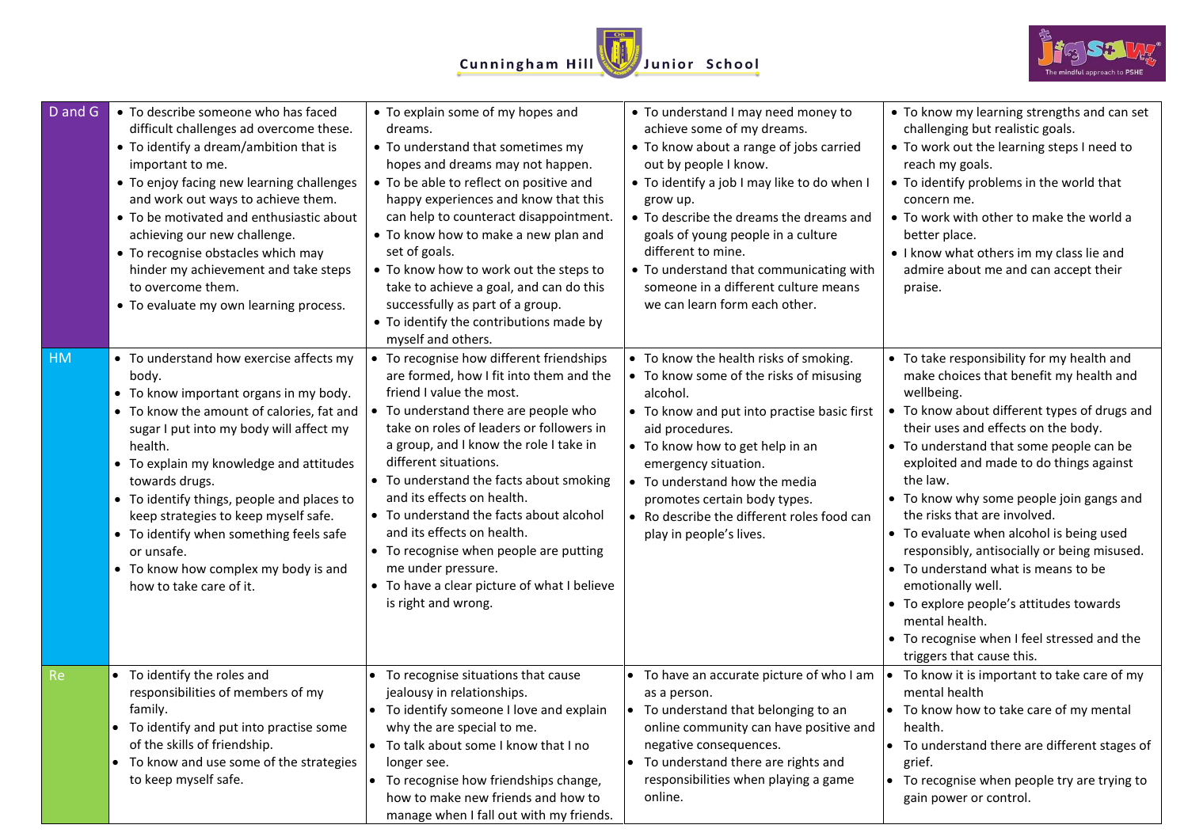



| $D$ and $G$ | • To describe someone who has faced<br>difficult challenges ad overcome these.<br>• To identify a dream/ambition that is<br>important to me.<br>• To enjoy facing new learning challenges<br>and work out ways to achieve them.<br>• To be motivated and enthusiastic about<br>achieving our new challenge.<br>• To recognise obstacles which may<br>hinder my achievement and take steps<br>to overcome them.<br>• To evaluate my own learning process.                     | • To explain some of my hopes and<br>dreams.<br>• To understand that sometimes my<br>hopes and dreams may not happen.<br>• To be able to reflect on positive and<br>happy experiences and know that this<br>can help to counteract disappointment.<br>• To know how to make a new plan and<br>set of goals.<br>• To know how to work out the steps to<br>take to achieve a goal, and can do this<br>successfully as part of a group.<br>• To identify the contributions made by<br>myself and others.                                                      | • To understand I may need money to<br>achieve some of my dreams.<br>• To know about a range of jobs carried<br>out by people I know.<br>• To identify a job I may like to do when I<br>grow up.<br>• To describe the dreams the dreams and<br>goals of young people in a culture<br>different to mine.<br>• To understand that communicating with<br>someone in a different culture means<br>we can learn form each other. | • To know my learning strengths and can set<br>challenging but realistic goals.<br>• To work out the learning steps I need to<br>reach my goals.<br>• To identify problems in the world that<br>concern me.<br>• To work with other to make the world a<br>better place.<br>• I know what others im my class lie and<br>admire about me and can accept their<br>praise.                                                                                                                                                                                                                                                                                                  |
|-------------|------------------------------------------------------------------------------------------------------------------------------------------------------------------------------------------------------------------------------------------------------------------------------------------------------------------------------------------------------------------------------------------------------------------------------------------------------------------------------|------------------------------------------------------------------------------------------------------------------------------------------------------------------------------------------------------------------------------------------------------------------------------------------------------------------------------------------------------------------------------------------------------------------------------------------------------------------------------------------------------------------------------------------------------------|-----------------------------------------------------------------------------------------------------------------------------------------------------------------------------------------------------------------------------------------------------------------------------------------------------------------------------------------------------------------------------------------------------------------------------|--------------------------------------------------------------------------------------------------------------------------------------------------------------------------------------------------------------------------------------------------------------------------------------------------------------------------------------------------------------------------------------------------------------------------------------------------------------------------------------------------------------------------------------------------------------------------------------------------------------------------------------------------------------------------|
| <b>HM</b>   | • To understand how exercise affects my<br>body.<br>• To know important organs in my body.<br>• To know the amount of calories, fat and<br>sugar I put into my body will affect my<br>health.<br>• To explain my knowledge and attitudes<br>towards drugs.<br>• To identify things, people and places to<br>keep strategies to keep myself safe.<br>• To identify when something feels safe<br>or unsafe.<br>• To know how complex my body is and<br>how to take care of it. | To recognise how different friendships<br>are formed, how I fit into them and the<br>friend I value the most.<br>To understand there are people who<br>take on roles of leaders or followers in<br>a group, and I know the role I take in<br>different situations.<br>• To understand the facts about smoking<br>and its effects on health.<br>• To understand the facts about alcohol<br>and its effects on health.<br>• To recognise when people are putting<br>me under pressure.<br>• To have a clear picture of what I believe<br>is right and wrong. | • To know the health risks of smoking.<br>• To know some of the risks of misusing<br>alcohol.<br>• To know and put into practise basic first<br>aid procedures.<br>• To know how to get help in an<br>emergency situation.<br>• To understand how the media<br>promotes certain body types.<br>• Ro describe the different roles food can<br>play in people's lives.                                                        | • To take responsibility for my health and<br>make choices that benefit my health and<br>wellbeing.<br>• To know about different types of drugs and<br>their uses and effects on the body.<br>• To understand that some people can be<br>exploited and made to do things against<br>the law.<br>• To know why some people join gangs and<br>the risks that are involved.<br>• To evaluate when alcohol is being used<br>responsibly, antisocially or being misused.<br>• To understand what is means to be<br>emotionally well.<br>• To explore people's attitudes towards<br>mental health.<br>• To recognise when I feel stressed and the<br>triggers that cause this. |
| <b>Re</b>   | • To identify the roles and<br>responsibilities of members of my<br>family.<br>• To identify and put into practise some<br>of the skills of friendship.<br>• To know and use some of the strategies<br>to keep myself safe.                                                                                                                                                                                                                                                  | • To recognise situations that cause<br>jealousy in relationships.<br>• To identify someone I love and explain<br>why the are special to me.<br>$\bullet$ To talk about some I know that I no<br>longer see.<br>• To recognise how friendships change,<br>how to make new friends and how to<br>manage when I fall out with my friends.                                                                                                                                                                                                                    | • To have an accurate picture of who I am<br>as a person.<br>• To understand that belonging to an<br>online community can have positive and<br>negative consequences.<br>• To understand there are rights and<br>responsibilities when playing a game<br>online.                                                                                                                                                            | • To know it is important to take care of my<br>mental health<br>• To know how to take care of my mental<br>health.<br>• To understand there are different stages of<br>grief.<br>• To recognise when people try are trying to<br>gain power or control.                                                                                                                                                                                                                                                                                                                                                                                                                 |